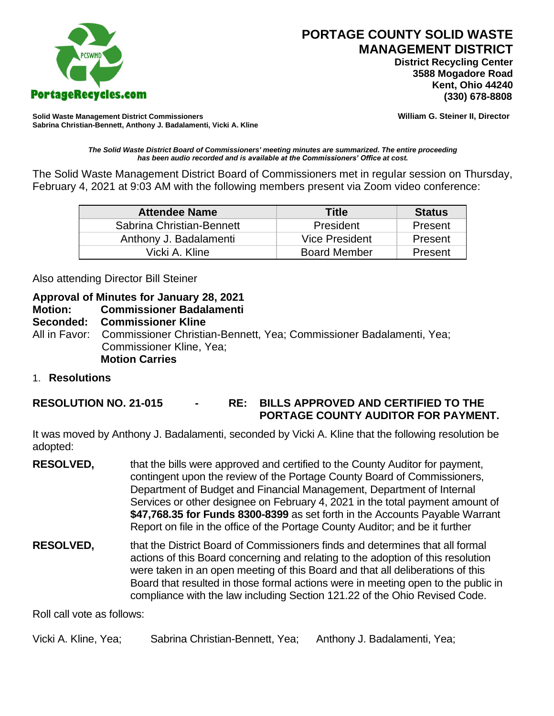

# **PORTAGE COUNTY SOLID WASTE MANAGEMENT DISTRICT**

 **District Recycling Center 3588 Mogadore Road Kent, Ohio 44240**

**Solid Waste Management District Commissioners William G. Steiner II, Director Sabrina Christian-Bennett, Anthony J. Badalamenti, Vicki A. Kline**

*The Solid Waste District Board of Commissioners' meeting minutes are summarized. The entire proceeding has been audio recorded and is available at the Commissioners' Office at cost.*

The Solid Waste Management District Board of Commissioners met in regular session on Thursday, February 4, 2021 at 9:03 AM with the following members present via Zoom video conference:

| <b>Attendee Name</b>      | Title                 | <b>Status</b> |
|---------------------------|-----------------------|---------------|
| Sabrina Christian-Bennett | President             | Present       |
| Anthony J. Badalamenti    | <b>Vice President</b> | Present       |
| Vicki A. Kline            | <b>Board Member</b>   | Present       |

Also attending Director Bill Steiner

# **Approval of Minutes for January 28, 2021**

#### **Motion: Commissioner Badalamenti**

#### **Seconded: Commissioner Kline**

All in Favor: Commissioner Christian-Bennett, Yea; Commissioner Badalamenti, Yea; Commissioner Kline, Yea; **Motion Carries**

1. **Resolutions**

**RESOLUTION NO. 21-015 - RE: BILLS APPROVED AND CERTIFIED TO THE PORTAGE COUNTY AUDITOR FOR PAYMENT.** 

It was moved by Anthony J. Badalamenti, seconded by Vicki A. Kline that the following resolution be adopted:

- **RESOLVED,** that the bills were approved and certified to the County Auditor for payment, contingent upon the review of the Portage County Board of Commissioners, Department of Budget and Financial Management, Department of Internal Services or other designee on February 4, 2021 in the total payment amount of **\$47,768.35 for Funds 8300-8399** as set forth in the Accounts Payable Warrant Report on file in the office of the Portage County Auditor; and be it further
- **RESOLVED,** that the District Board of Commissioners finds and determines that all formal actions of this Board concerning and relating to the adoption of this resolution were taken in an open meeting of this Board and that all deliberations of this Board that resulted in those formal actions were in meeting open to the public in compliance with the law including Section 121.22 of the Ohio Revised Code.

Roll call vote as follows:

Vicki A. Kline, Yea; Sabrina Christian-Bennett, Yea; Anthony J. Badalamenti, Yea;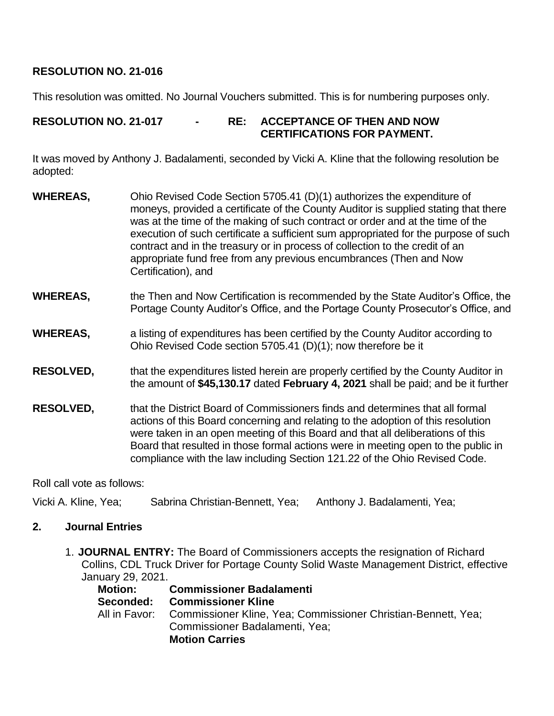# **RESOLUTION NO. 21-016**

This resolution was omitted. No Journal Vouchers submitted. This is for numbering purposes only.

## **RESOLUTION NO. 21-017 - RE: ACCEPTANCE OF THEN AND NOW CERTIFICATIONS FOR PAYMENT.**

It was moved by Anthony J. Badalamenti, seconded by Vicki A. Kline that the following resolution be adopted:

- **WHEREAS,** Ohio Revised Code Section 5705.41 (D)(1) authorizes the expenditure of moneys, provided a certificate of the County Auditor is supplied stating that there was at the time of the making of such contract or order and at the time of the execution of such certificate a sufficient sum appropriated for the purpose of such contract and in the treasury or in process of collection to the credit of an appropriate fund free from any previous encumbrances (Then and Now Certification), and
- **WHEREAS,** the Then and Now Certification is recommended by the State Auditor's Office, the Portage County Auditor's Office, and the Portage County Prosecutor's Office, and
- **WHEREAS,** a listing of expenditures has been certified by the County Auditor according to Ohio Revised Code section 5705.41 (D)(1); now therefore be it
- **RESOLVED,** that the expenditures listed herein are properly certified by the County Auditor in the amount of **\$45,130.17** dated **February 4, 2021** shall be paid; and be it further
- **RESOLVED,** that the District Board of Commissioners finds and determines that all formal actions of this Board concerning and relating to the adoption of this resolution were taken in an open meeting of this Board and that all deliberations of this Board that resulted in those formal actions were in meeting open to the public in compliance with the law including Section 121.22 of the Ohio Revised Code.

Roll call vote as follows:

Vicki A. Kline, Yea; Sabrina Christian-Bennett, Yea; Anthony J. Badalamenti, Yea;

### **2. Journal Entries**

1. **JOURNAL ENTRY:** The Board of Commissioners accepts the resignation of Richard Collins, CDL Truck Driver for Portage County Solid Waste Management District, effective January 29, 2021.

| Motion:   | <b>Commissioner Badalamenti</b>                                             |
|-----------|-----------------------------------------------------------------------------|
| Seconded: | <b>Commissioner Kline</b>                                                   |
|           | All in Favor: Commissioner Kline, Yea; Commissioner Christian-Bennett, Yea; |
|           | Commissioner Badalamenti, Yea;                                              |
|           | <b>Motion Carries</b>                                                       |